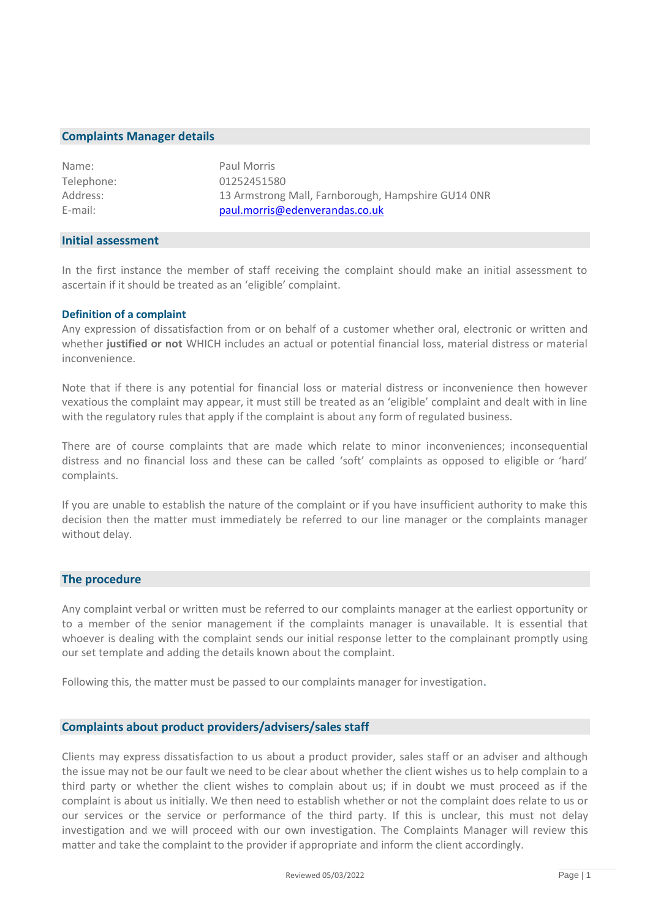#### **Complaints Manager details**

| Name:      | Paul Morris                                        |
|------------|----------------------------------------------------|
| Telephone: | 01252451580                                        |
| Address:   | 13 Armstrong Mall, Farnborough, Hampshire GU14 ONR |
| $E$ -mail: | paul.morris@edenverandas.co.uk                     |

#### **Initial assessment**

In the first instance the member of staff receiving the complaint should make an initial assessment to ascertain if it should be treated as an 'eligible' complaint.

#### **Definition of a complaint**

Any expression of dissatisfaction from or on behalf of a customer whether oral, electronic or written and whether **justified or not** WHICH includes an actual or potential financial loss, material distress or material inconvenience.

Note that if there is any potential for financial loss or material distress or inconvenience then however vexatious the complaint may appear, it must still be treated as an 'eligible' complaint and dealt with in line with the regulatory rules that apply if the complaint is about any form of regulated business.

There are of course complaints that are made which relate to minor inconveniences; inconsequential distress and no financial loss and these can be called 'soft' complaints as opposed to eligible or 'hard' complaints.

If you are unable to establish the nature of the complaint or if you have insufficient authority to make this decision then the matter must immediately be referred to our line manager or the complaints manager without delay.

#### **The procedure**

Any complaint verbal or written must be referred to our complaints manager at the earliest opportunity or to a member of the senior management if the complaints manager is unavailable. It is essential that whoever is dealing with the complaint sends our initial response letter to the complainant promptly using our set template and adding the details known about the complaint.

Following this, the matter must be passed to our complaints manager for investigation.

# **Complaints about product providers/advisers/sales staff**

Clients may express dissatisfaction to us about a product provider, sales staff or an adviser and although the issue may not be our fault we need to be clear about whether the client wishes us to help complain to a third party or whether the client wishes to complain about us; if in doubt we must proceed as if the complaint is about us initially. We then need to establish whether or not the complaint does relate to us or our services or the service or performance of the third party. If this is unclear, this must not delay investigation and we will proceed with our own investigation. The Complaints Manager will review this matter and take the complaint to the provider if appropriate and inform the client accordingly.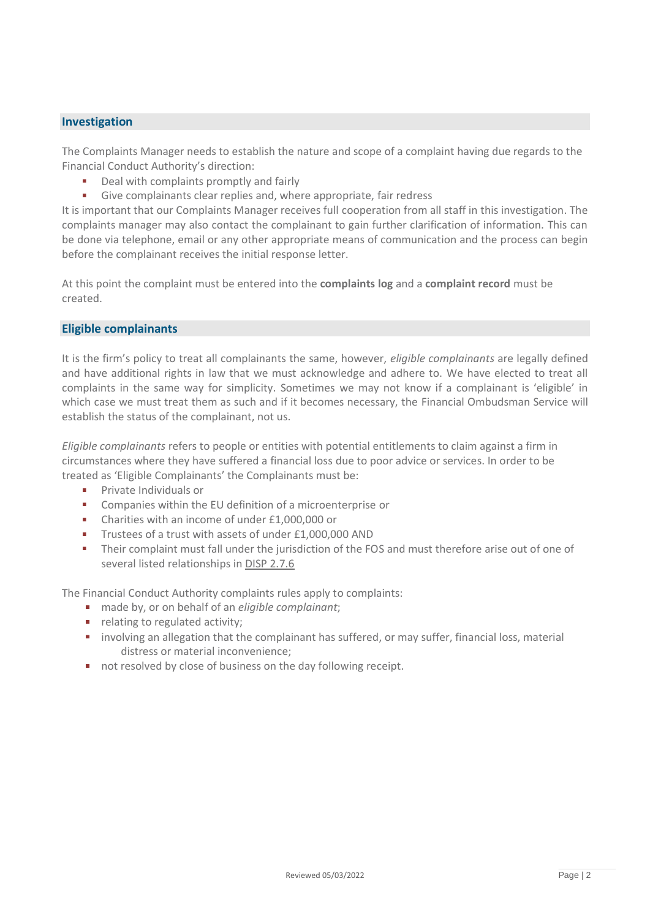## **Investigation**

The Complaints Manager needs to establish the nature and scope of a complaint having due regards to the Financial Conduct Authority's direction:

- Deal with complaints promptly and fairly
- Give complainants clear replies and, where appropriate, fair redress

It is important that our Complaints Manager receives full cooperation from all staff in this investigation. The complaints manager may also contact the complainant to gain further clarification of information. This can be done via telephone, email or any other appropriate means of communication and the process can begin before the complainant receives the initial response letter.

At this point the complaint must be entered into the **complaints log** and a **complaint record** must be created.

# **Eligible complainants**

It is the firm's policy to treat all complainants the same, however, *eligible complainants* are legally defined and have additional rights in law that we must acknowledge and adhere to. We have elected to treat all complaints in the same way for simplicity. Sometimes we may not know if a complainant is 'eligible' in which case we must treat them as such and if it becomes necessary, the Financial Ombudsman Service will establish the status of the complainant, not us.

*Eligible complainants* refers to people or entities with potential entitlements to claim against a firm in circumstances where they have suffered a financial loss due to poor advice or services. In order to be treated as 'Eligible Complainants' the Complainants must be:

- Private Individuals or
- × Companies within the EU definition of a microenterprise or
- Charities with an income of under £1,000,000 or ×
- **COL** Trustees of a trust with assets of under £1,000,000 AND
- Their complaint must fall under the jurisdiction of the FOS and must therefore arise out of one of several listed relationships i[n DISP](http://fshandbook.info/FS/html/handbook/DISP/2/7) 2.7.6

The Financial Conduct Authority complaints rules apply to complaints:

- made by, or on behalf of an *eligible complainant*;
- **•** relating to regulated activity;
- **•** involving an allegation that the complainant has suffered, or may suffer, financial loss, material distress or material inconvenience;
- not resolved by close of business on the day following receipt.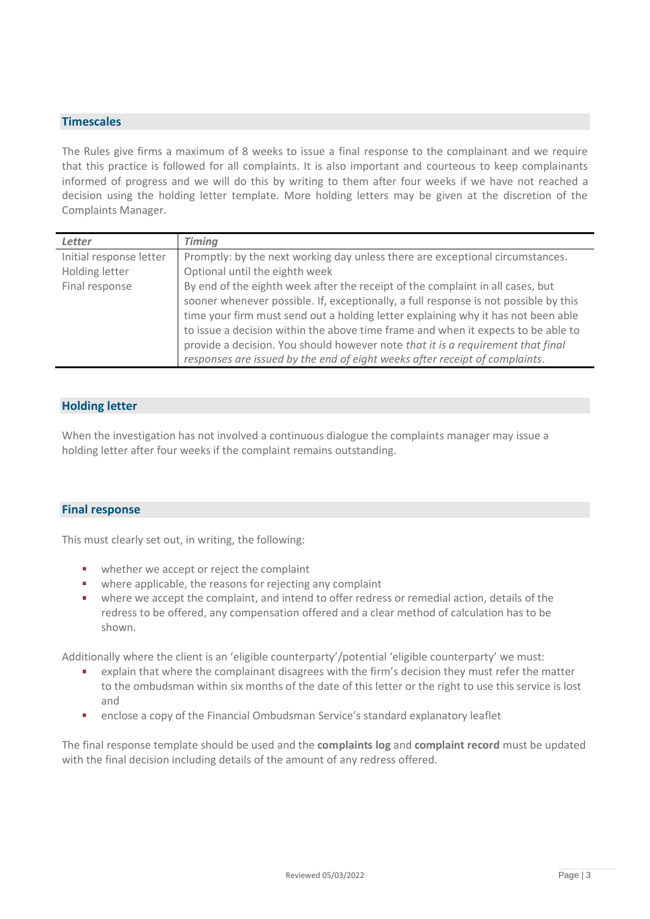## **Timescales**

The Rules give firms a maximum of 8 weeks to issue a final response to the complainant and we require that this practice is followed for all complaints. It is also important and courteous to keep complainants informed of progress and we will do this by writing to them after four weeks if we have not reached a decision using the holding letter template. More holding letters may be given at the discretion of the Complaints Manager.

| Letter                  | <b>Timing</b>                                                                        |
|-------------------------|--------------------------------------------------------------------------------------|
| Initial response letter | Promptly: by the next working day unless there are exceptional circumstances.        |
| Holding letter          | Optional until the eighth week                                                       |
| Final response          | By end of the eighth week after the receipt of the complaint in all cases, but       |
|                         | sooner whenever possible. If, exceptionally, a full response is not possible by this |
|                         | time your firm must send out a holding letter explaining why it has not been able    |
|                         | to issue a decision within the above time frame and when it expects to be able to    |
|                         | provide a decision. You should however note that it is a requirement that final      |
|                         | responses are issued by the end of eight weeks after receipt of complaints.          |

# **Holding letter**

When the investigation has not involved a continuous dialogue the complaints manager may issue a holding letter after four weeks if the complaint remains outstanding.

### **Final response**

This must clearly set out, in writing, the following:

- whether we accept or reject the complaint
- where applicable, the reasons for rejecting any complaint
- where we accept the complaint, and intend to offer redress or remedial action, details of the redress to be offered, any compensation offered and a clear method of calculation has to be shown.

Additionally where the client is an 'eligible counterparty'/potential 'eligible counterparty' we must:

- explain that where the complainant disagrees with the firm's decision they must refer the matter to the ombudsman within six months of the date of this letter or the right to use this service is lost and
- enclose a copy of the Financial Ombudsman Service's standard explanatory leaflet ×

The final response template should be used and the **complaints log** and **complaint record** must be updated with the final decision including details of the amount of any redress offered.